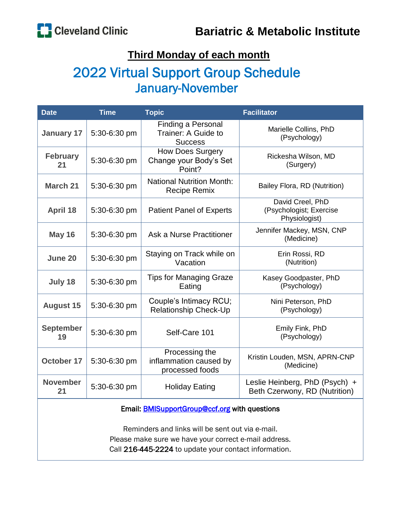### **Third Monday of each month**

## 2022 Virtual Support Group Schedule January-November

| <b>Date</b>                                          | <b>Time</b>  | <b>Topic</b>                                                | <b>Facilitator</b>                                              |  |
|------------------------------------------------------|--------------|-------------------------------------------------------------|-----------------------------------------------------------------|--|
| <b>January 17</b>                                    | 5:30-6:30 pm | Finding a Personal<br>Trainer: A Guide to<br><b>Success</b> | Marielle Collins, PhD<br>(Psychology)                           |  |
| <b>February</b><br>21                                | 5:30-6:30 pm | <b>How Does Surgery</b><br>Change your Body's Set<br>Point? | Rickesha Wilson, MD<br>(Surgery)                                |  |
| <b>March 21</b>                                      | 5:30-6:30 pm | <b>National Nutrition Month:</b><br><b>Recipe Remix</b>     | Bailey Flora, RD (Nutrition)                                    |  |
| <b>April 18</b>                                      | 5:30-6:30 pm | <b>Patient Panel of Experts</b>                             | David Creel, PhD<br>(Psychologist; Exercise<br>Physiologist)    |  |
| <b>May 16</b>                                        | 5:30-6:30 pm | Ask a Nurse Practitioner                                    | Jennifer Mackey, MSN, CNP<br>(Medicine)                         |  |
| June 20                                              | 5:30-6:30 pm | Staying on Track while on<br>Vacation                       | Erin Rossi, RD<br>(Nutrition)                                   |  |
| July 18                                              | 5:30-6:30 pm | <b>Tips for Managing Graze</b><br>Eating                    | Kasey Goodpaster, PhD<br>(Psychology)                           |  |
| <b>August 15</b>                                     | 5:30-6:30 pm | Couple's Intimacy RCU;<br>Relationship Check-Up             | Nini Peterson, PhD<br>(Psychology)                              |  |
| <b>September</b><br>19                               | 5:30-6:30 pm | Self-Care 101                                               | Emily Fink, PhD<br>(Psychology)                                 |  |
| <b>October 17</b>                                    | 5:30-6:30 pm | Processing the<br>inflammation caused by<br>processed foods | Kristin Louden, MSN, APRN-CNP<br>(Medicine)                     |  |
| <b>November</b><br>21                                | 5:30-6:30 pm | <b>Holiday Eating</b>                                       | Leslie Heinberg, PhD (Psych) +<br>Beth Czerwony, RD (Nutrition) |  |
| Email: <b>BMISupportGroup@ccf.org</b> with questions |              |                                                             |                                                                 |  |

Reminders and links will be sent out via e-mail. Please make sure we have your correct e-mail address. Call 216-445-2224 to update your contact information.